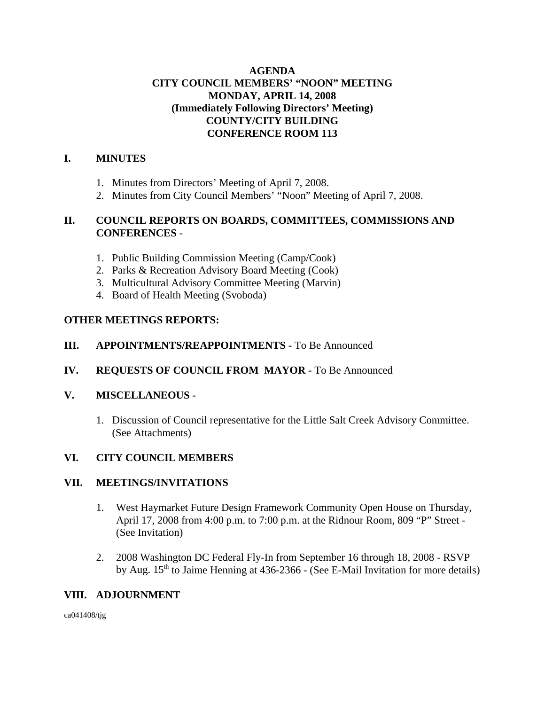### **AGENDA CITY COUNCIL MEMBERS' "NOON" MEETING MONDAY, APRIL 14, 2008 (Immediately Following Directors' Meeting) COUNTY/CITY BUILDING CONFERENCE ROOM 113**

# **I. MINUTES**

- 1. Minutes from Directors' Meeting of April 7, 2008.
- 2. Minutes from City Council Members' "Noon" Meeting of April 7, 2008.

#### **II. COUNCIL REPORTS ON BOARDS, COMMITTEES, COMMISSIONS AND CONFERENCES** -

- 1. Public Building Commission Meeting (Camp/Cook)
- 2. Parks & Recreation Advisory Board Meeting (Cook)
- 3. Multicultural Advisory Committee Meeting (Marvin)
- 4. Board of Health Meeting (Svoboda)

#### **OTHER MEETINGS REPORTS:**

- **III.** APPOINTMENTS/REAPPOINTMENTS To Be Announced
- **IV. REQUESTS OF COUNCIL FROM MAYOR -** To Be Announced

#### **V. MISCELLANEOUS -**

1. Discussion of Council representative for the Little Salt Creek Advisory Committee. (See Attachments)

### **VI. CITY COUNCIL MEMBERS**

#### **VII. MEETINGS/INVITATIONS**

- 1. West Haymarket Future Design Framework Community Open House on Thursday, April 17, 2008 from 4:00 p.m. to 7:00 p.m. at the Ridnour Room, 809 "P" Street - (See Invitation)
- 2. 2008 Washington DC Federal Fly-In from September 16 through 18, 2008 RSVP by Aug.  $15<sup>th</sup>$  to Jaime Henning at 436-2366 - (See E-Mail Invitation for more details)

### **VIII. ADJOURNMENT**

ca041408/tjg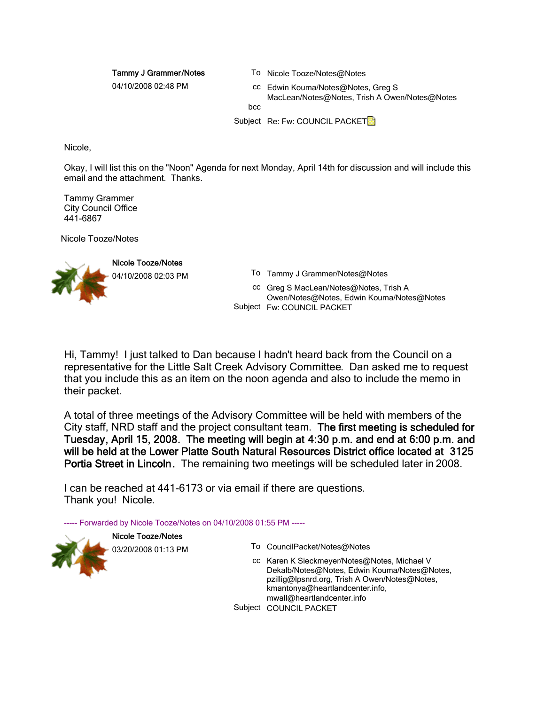Tammy J Grammer/Notes

To Nicole Tooze/Notes@Notes

04/10/2008 02:48 PM

cc Edwin Kouma/Notes@Notes, Greg S MacLean/Notes@Notes, Trish A Owen/Notes@Notes

hcc

Subject Re: Fw: COUNCIL PACKET

Nicole,

Okay, I will list this on the "Noon" Agenda for next Monday, April 14th for discussion and will include this email and the attachment. Thanks.

Tammy Grammer City Council Office 441-6867

Nicole Tooze/Notes



04/10/2008 02:03 PM To Tammy J Grammer/Notes@Notes

cc Greg S MacLean/Notes@Notes, Trish A Owen/Notes@Notes, Edwin Kouma/Notes@Notes Subject Fw: COUNCIL PACKET

Hi, Tammy! I just talked to Dan because I hadn't heard back from the Council on a representative for the Little Salt Creek Advisory Committee. Dan asked me to request that you include this as an item on the noon agenda and also to include the memo in their packet.

A total of three meetings of the Advisory Committee will be held with members of the City staff, NRD staff and the project consultant team. The first meeting is scheduled for Tuesday, April 15, 2008. The meeting will begin at 4:30 p.m. and end at 6:00 p.m. and will be held at the Lower Platte South Natural Resources District office located at 3125 Portia Street in Lincoln. The remaining two meetings will be scheduled later in 2008.

I can be reached at 441-6173 or via email if there are questions. Thank you! Nicole.

----- Forwarded by Nicole Tooze/Notes on 04/10/2008 01:55 PM -----

Nicole Tooze/Notes



- 03/20/2008 01:13 PM To CouncilPacket/Notes@Notes
	- cc Karen K Sieckmeyer/Notes@Notes, Michael V Dekalb/Notes@Notes, Edwin Kouma/Notes@Notes, pzillig@lpsnrd.org, Trish A Owen/Notes@Notes, kmantonya@heartlandcenter.info, mwall@heartlandcenter.info

Subject COUNCIL PACKET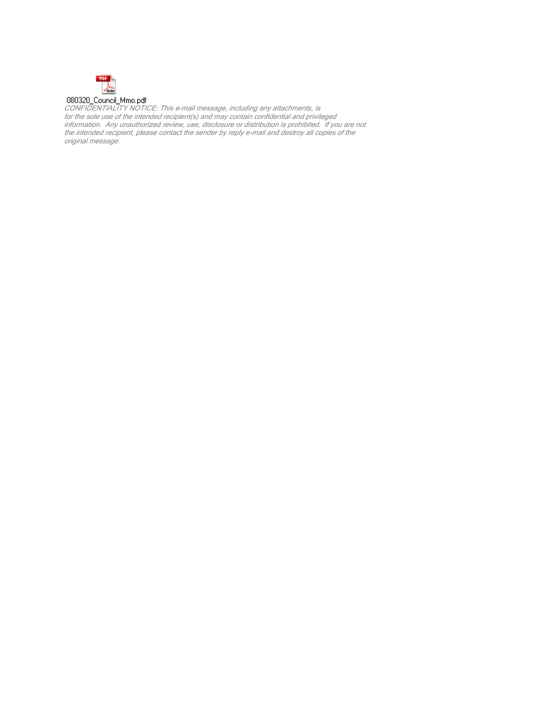

CONFIDENTIALITY NOTICE: This e-mail message, including any attachments, is for the sole use of the intended recipient(s) and may contain confidential and privileged information. Any unauthorized review, use, disclosure or distribution is prohibited. If you are not the intended recipient, please contact the sender by reply e-mail and destroy all copies of the original message.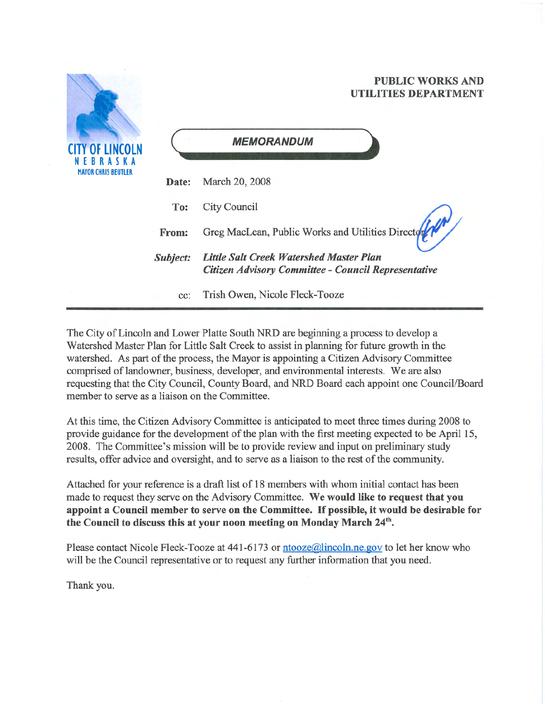# **PUBLIC WORKS AND** UTILITIES DEPARTMENT



The City of Lincoln and Lower Platte South NRD are beginning a process to develop a Watershed Master Plan for Little Salt Creek to assist in planning for future growth in the watershed. As part of the process, the Mayor is appointing a Citizen Advisory Committee comprised of landowner, business, developer, and environmental interests. We are also requesting that the City Council, County Board, and NRD Board each appoint one Council/Board member to serve as a liaison on the Committee.

At this time, the Citizen Advisory Committee is anticipated to meet three times during 2008 to provide guidance for the development of the plan with the first meeting expected to be April 15, 2008. The Committee's mission will be to provide review and input on preliminary study results, offer advice and oversight, and to serve as a liaison to the rest of the community.

Attached for your reference is a draft list of 18 members with whom initial contact has been made to request they serve on the Advisory Committee. We would like to request that you appoint a Council member to serve on the Committee. If possible, it would be desirable for the Council to discuss this at your noon meeting on Monday March 24<sup>th</sup>.

Please contact Nicole Fleck-Tooze at 441-6173 or ntooze@lincoln.ne.gov to let her know who will be the Council representative or to request any further information that you need.

Thank you.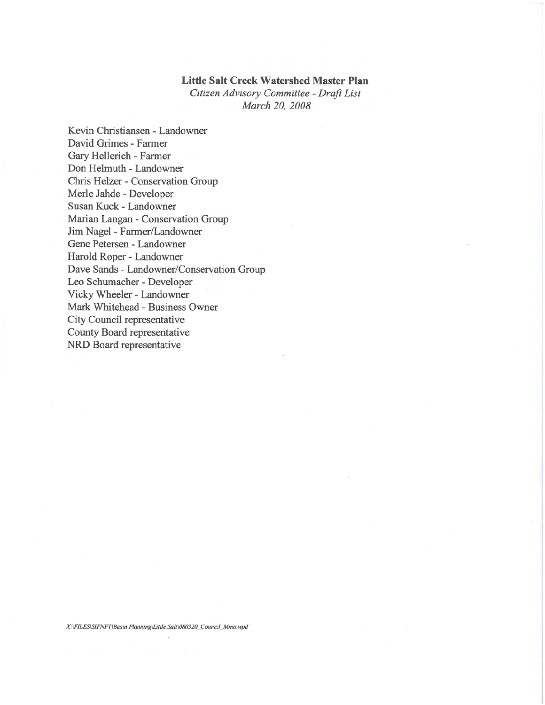#### **Little Salt Creek Watershed Master Plan**

Citizen Advisory Committee - Draft List March 20, 2008

Kevin Christiansen - Landowner David Grimes - Farmer Gary Hellerich - Farmer Don Helmuth - Landowner Chris Helzer - Conservation Group Merle Jahde - Developer Susan Kuck - Landowner Marian Langan - Conservation Group Jim Nagel - Farmer/Landowner Gene Petersen - Landowner Harold Roper - Landowner Dave Sands - Landowner/Conservation Group Leo Schumacher - Developer Vicky Wheeler - Landowner Mark Whitehead - Business Owner City Council representative County Board representative NRD Board representative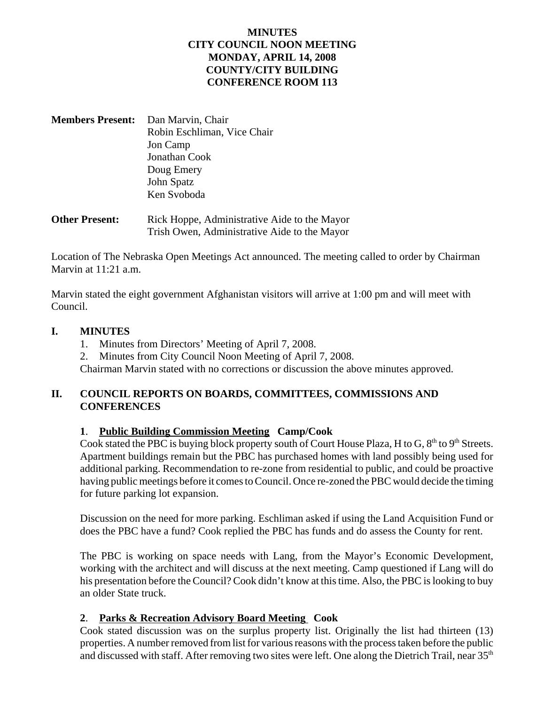# **MINUTES CITY COUNCIL NOON MEETING MONDAY, APRIL 14, 2008 COUNTY/CITY BUILDING CONFERENCE ROOM 113**

- **Members Present:** Dan Marvin, Chair Robin Eschliman, Vice Chair Jon Camp Jonathan Cook Doug Emery John Spatz Ken Svoboda
- **Other Present:** Rick Hoppe, Administrative Aide to the Mayor Trish Owen, Administrative Aide to the Mayor

Location of The Nebraska Open Meetings Act announced. The meeting called to order by Chairman Marvin at 11:21 a.m.

Marvin stated the eight government Afghanistan visitors will arrive at 1:00 pm and will meet with Council.

#### **I. MINUTES**

- 1. Minutes from Directors' Meeting of April 7, 2008.
- 2. Minutes from City Council Noon Meeting of April 7, 2008.

Chairman Marvin stated with no corrections or discussion the above minutes approved.

# **II. COUNCIL REPORTS ON BOARDS, COMMITTEES, COMMISSIONS AND CONFERENCES**

### **1**. **Public Building Commission Meeting Camp/Cook**

Cook stated the PBC is buying block property south of Court House Plaza, H to G,  $8<sup>th</sup>$  to  $9<sup>th</sup>$  Streets. Apartment buildings remain but the PBC has purchased homes with land possibly being used for additional parking. Recommendation to re-zone from residential to public, and could be proactive having public meetings before it comes to Council. Once re-zoned the PBC would decide the timing for future parking lot expansion.

Discussion on the need for more parking. Eschliman asked if using the Land Acquisition Fund or does the PBC have a fund? Cook replied the PBC has funds and do assess the County for rent.

The PBC is working on space needs with Lang, from the Mayor's Economic Development, working with the architect and will discuss at the next meeting. Camp questioned if Lang will do his presentation before the Council? Cook didn't know at this time. Also, the PBC is looking to buy an older State truck.

### **2**. **Parks & Recreation Advisory Board Meeting Cook**

Cook stated discussion was on the surplus property list. Originally the list had thirteen (13) properties. A number removed from list for various reasons with the process taken before the public and discussed with staff. After removing two sites were left. One along the Dietrich Trail, near 35<sup>th</sup>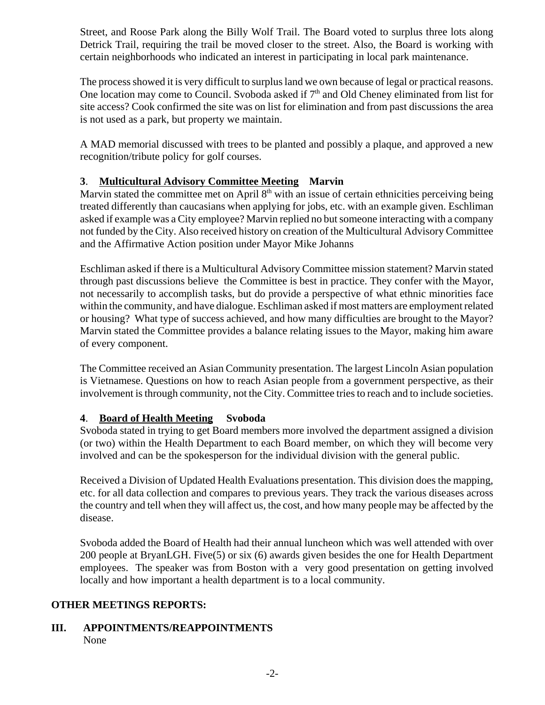Street, and Roose Park along the Billy Wolf Trail. The Board voted to surplus three lots along Detrick Trail, requiring the trail be moved closer to the street. Also, the Board is working with certain neighborhoods who indicated an interest in participating in local park maintenance.

The process showed it is very difficult to surplus land we own because of legal or practical reasons. One location may come to Council. Svoboda asked if  $7<sup>th</sup>$  and Old Cheney eliminated from list for site access? Cook confirmed the site was on list for elimination and from past discussions the area is not used as a park, but property we maintain.

A MAD memorial discussed with trees to be planted and possibly a plaque, and approved a new recognition/tribute policy for golf courses.

# **3**. **Multicultural Advisory Committee Meeting Marvin**

Marvin stated the committee met on April  $8<sup>th</sup>$  with an issue of certain ethnicities perceiving being treated differently than caucasians when applying for jobs, etc. with an example given. Eschliman asked if example was a City employee? Marvin replied no but someone interacting with a company not funded by the City. Also received history on creation of the Multicultural Advisory Committee and the Affirmative Action position under Mayor Mike Johanns

Eschliman asked if there is a Multicultural Advisory Committee mission statement? Marvin stated through past discussions believe the Committee is best in practice. They confer with the Mayor, not necessarily to accomplish tasks, but do provide a perspective of what ethnic minorities face within the community, and have dialogue. Eschliman asked if most matters are employment related or housing? What type of success achieved, and how many difficulties are brought to the Mayor? Marvin stated the Committee provides a balance relating issues to the Mayor, making him aware of every component.

The Committee received an Asian Community presentation. The largest Lincoln Asian population is Vietnamese. Questions on how to reach Asian people from a government perspective, as their involvement is through community, not the City. Committee tries to reach and to include societies.

# **4**. **Board of Health Meeting Svoboda**

Svoboda stated in trying to get Board members more involved the department assigned a division (or two) within the Health Department to each Board member, on which they will become very involved and can be the spokesperson for the individual division with the general public.

Received a Division of Updated Health Evaluations presentation. This division does the mapping, etc. for all data collection and compares to previous years. They track the various diseases across the country and tell when they will affect us, the cost, and how many people may be affected by the disease.

Svoboda added the Board of Health had their annual luncheon which was well attended with over 200 people at BryanLGH. Five(5) or six (6) awards given besides the one for Health Department employees. The speaker was from Boston with a very good presentation on getting involved locally and how important a health department is to a local community.

### **OTHER MEETINGS REPORTS:**

### **III. APPOINTMENTS/REAPPOINTMENTS** None